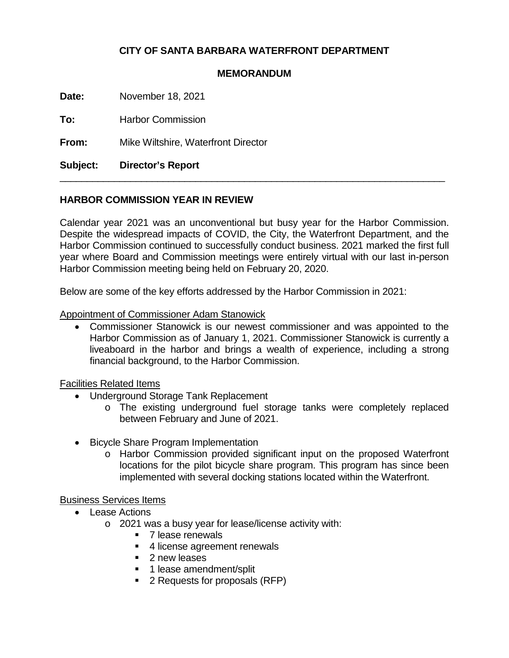# **CITY OF SANTA BARBARA WATERFRONT DEPARTMENT**

#### **MEMORANDUM**

**Date:** November 18, 2021

**To:** Harbor Commission

**From:** Mike Wiltshire, Waterfront Director

**Subject: Director's Report**

### **HARBOR COMMISSION YEAR IN REVIEW**

Calendar year 2021 was an unconventional but busy year for the Harbor Commission. Despite the widespread impacts of COVID, the City, the Waterfront Department, and the Harbor Commission continued to successfully conduct business. 2021 marked the first full year where Board and Commission meetings were entirely virtual with our last in-person Harbor Commission meeting being held on February 20, 2020.

 $\_$  , and the set of the set of the set of the set of the set of the set of the set of the set of the set of the set of the set of the set of the set of the set of the set of the set of the set of the set of the set of th

Below are some of the key efforts addressed by the Harbor Commission in 2021:

#### Appointment of Commissioner Adam Stanowick

• Commissioner Stanowick is our newest commissioner and was appointed to the Harbor Commission as of January 1, 2021. Commissioner Stanowick is currently a liveaboard in the harbor and brings a wealth of experience, including a strong financial background, to the Harbor Commission.

Facilities Related Items

- Underground Storage Tank Replacement
	- o The existing underground fuel storage tanks were completely replaced between February and June of 2021.
- Bicycle Share Program Implementation
	- o Harbor Commission provided significant input on the proposed Waterfront locations for the pilot bicycle share program. This program has since been implemented with several docking stations located within the Waterfront.

### Business Services Items

- Lease Actions
	- o 2021 was a busy year for lease/license activity with:
		- 7 lease renewals
		- 4 license agreement renewals
		- 2 new leases
		- **1** lease amendment/split
		- 2 Requests for proposals (RFP)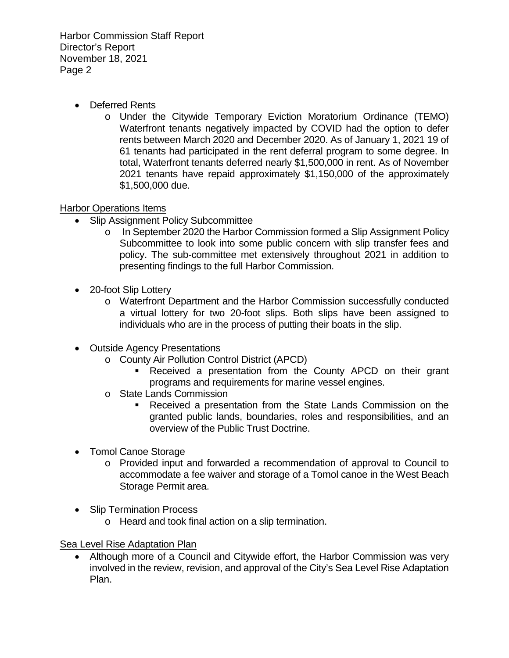Harbor Commission Staff Report Director's Report November 18, 2021 Page 2

- Deferred Rents
	- o Under the Citywide Temporary Eviction Moratorium Ordinance (TEMO) Waterfront tenants negatively impacted by COVID had the option to defer rents between March 2020 and December 2020. As of January 1, 2021 19 of 61 tenants had participated in the rent deferral program to some degree. In total, Waterfront tenants deferred nearly \$1,500,000 in rent. As of November 2021 tenants have repaid approximately \$1,150,000 of the approximately \$1,500,000 due.

## Harbor Operations Items

- Slip Assignment Policy Subcommittee
	- o In September 2020 the Harbor Commission formed a Slip Assignment Policy Subcommittee to look into some public concern with slip transfer fees and policy. The sub-committee met extensively throughout 2021 in addition to presenting findings to the full Harbor Commission.
- 20-foot Slip Lottery
	- o Waterfront Department and the Harbor Commission successfully conducted a virtual lottery for two 20-foot slips. Both slips have been assigned to individuals who are in the process of putting their boats in the slip.
- Outside Agency Presentations
	- o County Air Pollution Control District (APCD)
		- Received a presentation from the County APCD on their grant programs and requirements for marine vessel engines.
	- o State Lands Commission
		- Received a presentation from the State Lands Commission on the granted public lands, boundaries, roles and responsibilities, and an overview of the Public Trust Doctrine.
- Tomol Canoe Storage
	- o Provided input and forwarded a recommendation of approval to Council to accommodate a fee waiver and storage of a Tomol canoe in the West Beach Storage Permit area.
- Slip Termination Process
	- o Heard and took final action on a slip termination.

Sea Level Rise Adaptation Plan

• Although more of a Council and Citywide effort, the Harbor Commission was very involved in the review, revision, and approval of the City's Sea Level Rise Adaptation Plan.